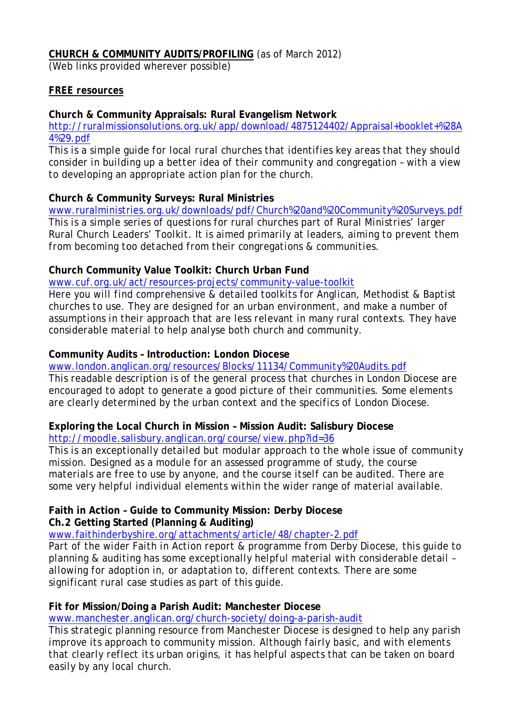## **CHURCH & COMMUNITY AUDITS/PROFILING** (as of March 2012)

(Web links provided wherever possible)

#### *FREE resources*

#### **Church & Community Appraisals: Rural Evangelism Network**

[http://ruralmissionsolutions.org.uk/app/download/4875124402/Appraisal+booklet+%28A](http://ruralmissionsolutions.org.uk/app/download/4875124402/Appraisal+booklet+%28A4%29.pdf) [4%29.pdf](http://ruralmissionsolutions.org.uk/app/download/4875124402/Appraisal+booklet+%28A4%29.pdf)

*This is a simple guide for local rural churches that identifies key areas that they should consider in building up a better idea of their community and congregation – with a view to developing an appropriate action plan for the church.*

#### **Church & Community Surveys: Rural Ministries**

[www.ruralministries.org.uk/downloads/pdf/Church%20and%20Community%20Surveys.pdf](http://www.ruralministries.org.uk/downloads/pdf/Church%20and%20Community%20Surveys.pdf) *This is a simple series of questions for rural churches part of Rural Ministries' larger Rural Church Leaders' Toolkit. It is aimed primarily at leaders, aiming to prevent them from becoming too detached from their congregations & communities.*

## **Church Community Value Toolkit: Church Urban Fund**

[www.cuf.org.uk/act/resources-projects/community-value-toolkit](http://www.cuf.org.uk/act/resources-projects/community-value-toolkit)

*Here you will find comprehensive & detailed toolkits for Anglican, Methodist & Baptist churches to use. They are designed for an urban environment, and make a number of assumptions in their approach that are less relevant in many rural contexts. They have considerable material to help analyse both church and community.*

#### **Community Audits – Introduction: London Diocese**

[www.london.anglican.org/resources/Blocks/11134/Community%20Audits.pdf](http://www.london.anglican.org/resources/Blocks/11134/Community%20Audits.pdf) *This readable description is of the general process that churches in London Diocese are encouraged to adopt to generate a good picture of their communities. Some elements are clearly determined by the urban context and the specifics of London Diocese.*

## **Exploring the Local Church in Mission – Mission Audit: Salisbury Diocese**

<http://moodle.salisbury.anglican.org/course/view.php?id=36>

*This is an exceptionally detailed but modular approach to the whole issue of community mission. Designed as a module for an assessed programme of study, the course materials are free to use by anyone, and the course itself can be audited. There are some very helpful individual elements within the wider range of material available.*

## **Faith in Action – Guide to Community Mission: Derby Diocese Ch.2 Getting Started (Planning & Auditing)**

[www.faithinderbyshire.org/attachments/article/48/chapter-2.pdf](http://www.faithinderbyshire.org/attachments/article/48/chapter-2.pdf)

*Part of the wider Faith in Action report & programme from Derby Diocese, this guide to planning & auditing has some exceptionally helpful material with considerable detail – allowing for adoption in, or adaptation to, different contexts. There are some significant rural case studies as part of this guide.*

## **Fit for Mission/Doing a Parish Audit: Manchester Diocese**

[www.manchester.anglican.org/church-society/doing-a-parish-audit](http://www.manchester.anglican.org/church-society/doing-a-parish-audit)

*This strategic planning resource from Manchester Diocese is designed to help any parish improve its approach to community mission. Although fairly basic, and with elements that clearly reflect its urban origins, it has helpful aspects that can be taken on board easily by any local church.*